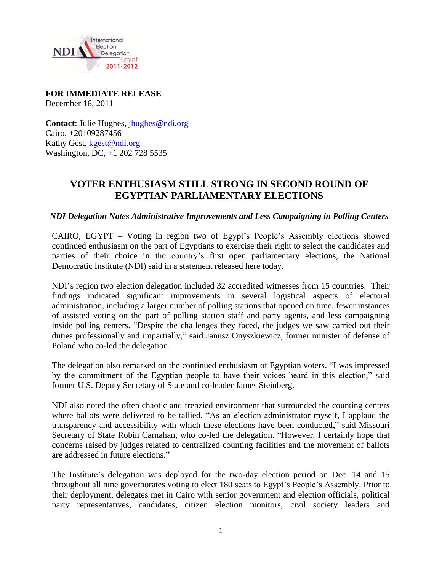

## **FOR IMMEDIATE RELEASE**  December 16, 2011

**Contact:** Julie Hughes, *jhughes@ndi.org* Cairo, +20109287456 Kathy Gest, kgest@ndi.org Washington, DC, +1 202 728 5535

## **VOTER ENTHUSIASM STILL STRONG IN SECOND ROUND OF EGYPTIAN PARLIAMENTARY ELECTIONS**

*NDI Delegation Notes Administrative Improvements and Less Campaigning in Polling Centers*

CAIRO, EGYPT – Voting in region two of Egypt's People's Assembly elections showed continued enthusiasm on the part of Egyptians to exercise their right to select the candidates and parties of their choice in the country's first open parliamentary elections, the National Democratic Institute (NDI) said in a statement released here today.

NDI's region two election delegation included 32 accredited witnesses from 15 countries. Their findings indicated significant improvements in several logistical aspects of electoral administration, including a larger number of polling stations that opened on time, fewer instances of assisted voting on the part of polling station staff and party agents, and less campaigning inside polling centers. "Despite the challenges they faced, the judges we saw carried out their duties professionally and impartially," said Janusz Onyszkiewicz, former minister of defense of Poland who co-led the delegation.

The delegation also remarked on the continued enthusiasm of Egyptian voters. "I was impressed by the commitment of the Egyptian people to have their voices heard in this election," said former U.S. Deputy Secretary of State and co-leader James Steinberg.

NDI also noted the often chaotic and frenzied environment that surrounded the counting centers where ballots were delivered to be tallied. "As an election administrator myself, I applaud the transparency and accessibility with which these elections have been conducted," said Missouri Secretary of State Robin Carnahan, who co-led the delegation. "However, I certainly hope that concerns raised by judges related to centralized counting facilities and the movement of ballots are addressed in future elections."

The Institute's delegation was deployed for the two-day election period on Dec. 14 and 15 throughout all nine governorates voting to elect 180 seats to Egypt's People's Assembly. Prior to their deployment, delegates met in Cairo with senior government and election officials, political party representatives, candidates, citizen election monitors, civil society leaders and